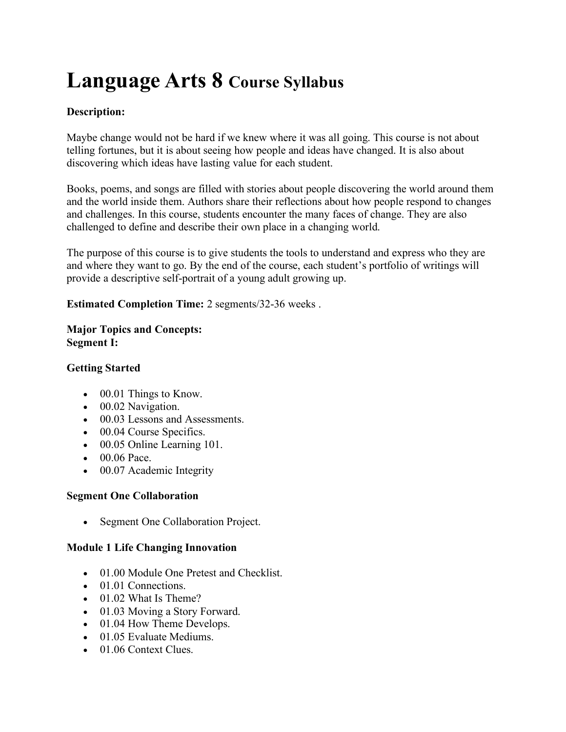# **Language Arts 8 Course Syllabus**

# **Description:**

Maybe change would not be hard if we knew where it was all going. This course is not about telling fortunes, but it is about seeing how people and ideas have changed. It is also about discovering which ideas have lasting value for each student.

Books, poems, and songs are filled with stories about people discovering the world around them and the world inside them. Authors share their reflections about how people respond to changes and challenges. In this course, students encounter the many faces of change. They are also challenged to define and describe their own place in a changing world.

The purpose of this course is to give students the tools to understand and express who they are and where they want to go. By the end of the course, each student's portfolio of writings will provide a descriptive self-portrait of a young adult growing up.

**Estimated Completion Time:** 2 segments/32-36 weeks .

## **Major Topics and Concepts: Segment I:**

## **Getting Started**

- 00.01 Things to Know.
- 00.02 Navigation.
- 00.03 Lessons and Assessments.
- 00.04 Course Specifics.
- 00.05 Online Learning 101.
- 00.06 Pace.
- 00.07 Academic Integrity

# **Segment One Collaboration**

• Segment One Collaboration Project.

# **Module 1 Life Changing Innovation**

- 01.00 Module One Pretest and Checklist.
- 01.01 Connections.
- 01.02 What Is Theme?
- 01.03 Moving a Story Forward.
- 01.04 How Theme Develops.
- 01.05 Evaluate Mediums.
- 01.06 Context Clues.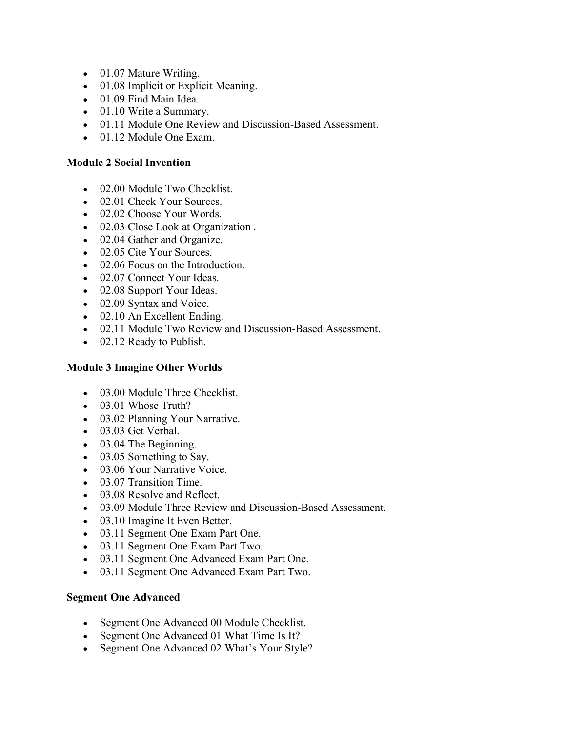- 01.07 Mature Writing.
- 01.08 Implicit or Explicit Meaning.
- 01.09 Find Main Idea.
- 01.10 Write a Summary.
- 01.11 Module One Review and Discussion-Based Assessment.
- 01.12 Module One Exam.

#### **Module 2 Social Invention**

- 02.00 Module Two Checklist.
- 02.01 Check Your Sources.
- 02.02 Choose Your Words.
- 02.03 Close Look at Organization.
- 02.04 Gather and Organize.
- 02.05 Cite Your Sources.
- 02.06 Focus on the Introduction.
- 02.07 Connect Your Ideas.
- 02.08 Support Your Ideas.
- 02.09 Syntax and Voice.
- 02.10 An Excellent Ending.
- 02.11 Module Two Review and Discussion-Based Assessment.
- 02.12 Ready to Publish.

## **Module 3 Imagine Other Worlds**

- 03.00 Module Three Checklist.
- 03.01 Whose Truth?
- 03.02 Planning Your Narrative.
- 03.03 Get Verbal.
- 03.04 The Beginning.
- 03.05 Something to Say.
- 03.06 Your Narrative Voice.
- 03.07 Transition Time.
- 03.08 Resolve and Reflect.
- 03.09 Module Three Review and Discussion-Based Assessment.
- 03.10 Imagine It Even Better.
- 03.11 Segment One Exam Part One.
- 03.11 Segment One Exam Part Two.
- 03.11 Segment One Advanced Exam Part One.
- 03.11 Segment One Advanced Exam Part Two.

## **Segment One Advanced**

- Segment One Advanced 00 Module Checklist.
- Segment One Advanced 01 What Time Is It?
- Segment One Advanced 02 What's Your Style?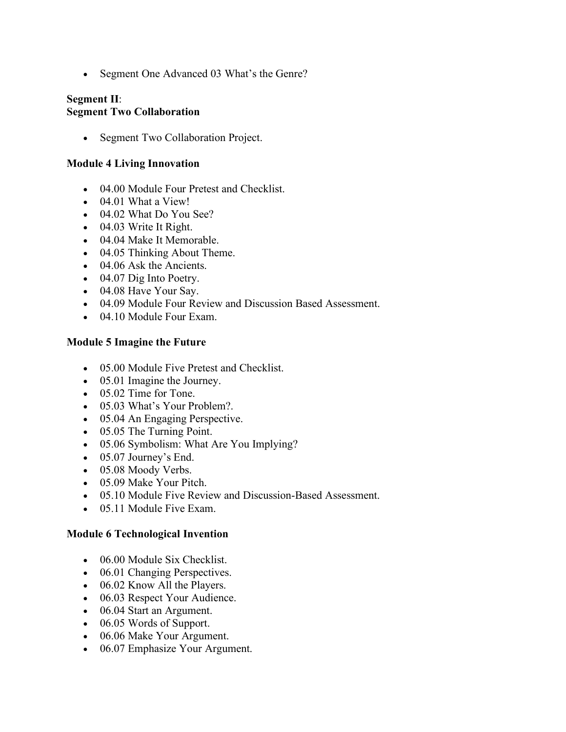• Segment One Advanced 03 What's the Genre?

## **Segment II**: **Segment Two Collaboration**

• Segment Two Collaboration Project.

#### **Module 4 Living Innovation**

- 04.00 Module Four Pretest and Checklist.
- 04.01 What a View!
- 04.02 What Do You See?
- 04.03 Write It Right.
- 04.04 Make It Memorable.
- 04.05 Thinking About Theme.
- 04.06 Ask the Ancients.
- 04.07 Dig Into Poetry.
- 04.08 Have Your Say.
- 04.09 Module Four Review and Discussion Based Assessment.
- 04.10 Module Four Exam.

#### **Module 5 Imagine the Future**

- 05.00 Module Five Pretest and Checklist.
- 05.01 Imagine the Journey.
- 05.02 Time for Tone.
- 05.03 What's Your Problem?.
- 05.04 An Engaging Perspective.
- 05.05 The Turning Point.
- 05.06 Symbolism: What Are You Implying?
- 05.07 Journey's End.
- 05.08 Moody Verbs.
- 05.09 Make Your Pitch.
- 05.10 Module Five Review and Discussion-Based Assessment.
- 05.11 Module Five Exam.

#### **Module 6 Technological Invention**

- 06.00 Module Six Checklist.
- 06.01 Changing Perspectives.
- 06.02 Know All the Players.
- 06.03 Respect Your Audience.
- 06.04 Start an Argument.
- 06.05 Words of Support.
- 06.06 Make Your Argument.
- 06.07 Emphasize Your Argument.